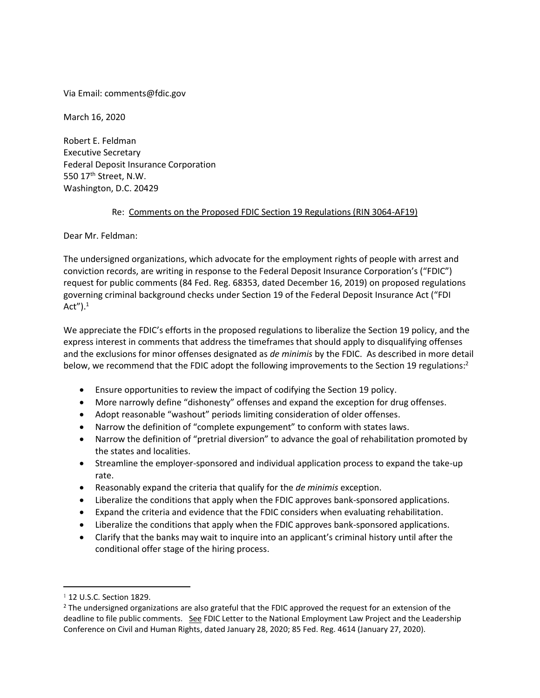Via Email: comments@fdic.gov

March 16, 2020

Robert E. Feldman Executive Secretary Federal Deposit Insurance Corporation 550 17th Street, N.W. Washington, D.C. 20429

#### Re: Comments on the Proposed FDIC Section 19 Regulations (RIN 3064-AF19)

Dear Mr. Feldman:

The undersigned organizations, which advocate for the employment rights of people with arrest and conviction records, are writing in response to the Federal Deposit Insurance Corporation's ("FDIC") request for public comments (84 Fed. Reg. 68353, dated December 16, 2019) on proposed regulations governing criminal background checks under Section 19 of the Federal Deposit Insurance Act ("FDI Act" $)$ .<sup>1</sup>

We appreciate the FDIC's efforts in the proposed regulations to liberalize the Section 19 policy, and the express interest in comments that address the timeframes that should apply to disqualifying offenses and the exclusions for minor offenses designated as *de minimis* by the FDIC. As described in more detail below, we recommend that the FDIC adopt the following improvements to the Section 19 regulations:<sup>2</sup>

- Ensure opportunities to review the impact of codifying the Section 19 policy.
- More narrowly define "dishonesty" offenses and expand the exception for drug offenses.
- Adopt reasonable "washout" periods limiting consideration of older offenses.
- Narrow the definition of "complete expungement" to conform with states laws.
- Narrow the definition of "pretrial diversion" to advance the goal of rehabilitation promoted by the states and localities.
- Streamline the employer-sponsored and individual application process to expand the take-up rate.
- Reasonably expand the criteria that qualify for the *de minimis* exception.
- Liberalize the conditions that apply when the FDIC approves bank-sponsored applications.
- Expand the criteria and evidence that the FDIC considers when evaluating rehabilitation.
- Liberalize the conditions that apply when the FDIC approves bank-sponsored applications.
- Clarify that the banks may wait to inquire into an applicant's criminal history until after the conditional offer stage of the hiring process.

<sup>1</sup> 12 U.S.C. Section 1829.

 $<sup>2</sup>$  The undersigned organizations are also grateful that the FDIC approved the request for an extension of the</sup> deadline to file public comments. See FDIC Letter to the National Employment Law Project and the Leadership Conference on Civil and Human Rights, dated January 28, 2020; 85 Fed. Reg. 4614 (January 27, 2020).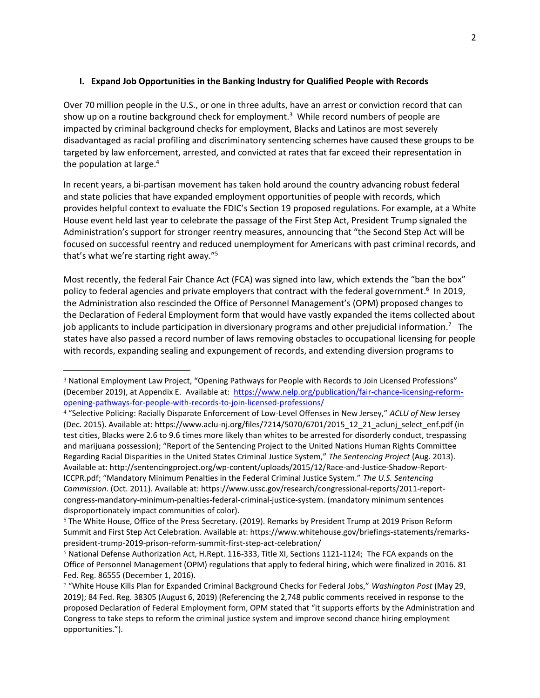#### **I. Expand Job Opportunities in the Banking Industry for Qualified People with Records**

Over 70 million people in the U.S., or one in three adults, have an arrest or conviction record that can show up on a routine background check for employment.<sup>3</sup> While record numbers of people are impacted by criminal background checks for employment, Blacks and Latinos are most severely disadvantaged as racial profiling and discriminatory sentencing schemes have caused these groups to be targeted by law enforcement, arrested, and convicted at rates that far exceed their representation in the population at large.<sup>4</sup>

In recent years, a bi-partisan movement has taken hold around the country advancing robust federal and state policies that have expanded employment opportunities of people with records, which provides helpful context to evaluate the FDIC's Section 19 proposed regulations. For example, at a White House event held last year to celebrate the passage of the First Step Act, President Trump signaled the Administration's support for stronger reentry measures, announcing that "the Second Step Act will be focused on successful reentry and reduced unemployment for Americans with past criminal records, and that's what we're starting right away."<sup>5</sup>

Most recently, the federal Fair Chance Act (FCA) was signed into law, which extends the "ban the box" policy to federal agencies and private employers that contract with the federal government.<sup>6</sup> In 2019, the Administration also rescinded the Office of Personnel Management's (OPM) proposed changes to the Declaration of Federal Employment form that would have vastly expanded the items collected about job applicants to include participation in diversionary programs and other prejudicial information.<sup>7</sup> The states have also passed a record number of laws removing obstacles to occupational licensing for people with records, expanding sealing and expungement of records, and extending diversion programs to

<sup>3</sup> National Employment Law Project, "Opening Pathways for People with Records to Join Licensed Professions" (December 2019), at Appendix E. Available at: [https://www.nelp.org/publication/fair-chance-licensing-reform](https://www.nelp.org/publication/fair-chance-licensing-reform-opening-pathways-for-people-with-records-to-join-licensed-professions/)[opening-pathways-for-people-with-records-to-join-licensed-professions/](https://www.nelp.org/publication/fair-chance-licensing-reform-opening-pathways-for-people-with-records-to-join-licensed-professions/)

<sup>4</sup> "Selective Policing: Racially Disparate Enforcement of Low-Level Offenses in New Jersey," *ACLU of New* Jersey (Dec. 2015). Available at: https://www.aclu-nj.org/files/7214/5070/6701/2015\_12\_21\_aclunj\_select\_enf.pdf (in test cities, Blacks were 2.6 to 9.6 times more likely than whites to be arrested for disorderly conduct, trespassing and marijuana possession); "Report of the Sentencing Project to the United Nations Human Rights Committee Regarding Racial Disparities in the United States Criminal Justice System," *The Sentencing Project* (Aug. 2013). Available at: http://sentencingproject.org/wp-content/uploads/2015/12/Race-and-Justice-Shadow-Report-ICCPR.pdf; "Mandatory Minimum Penalties in the Federal Criminal Justice System." *The U.S. Sentencing Commission*. (Oct. 2011). Available at: https://www.ussc.gov/research/congressional-reports/2011-reportcongress-mandatory-minimum-penalties-federal-criminal-justice-system. (mandatory minimum sentences disproportionately impact communities of color).

<sup>5</sup> The White House, Office of the Press Secretary. (2019). Remarks by President Trump at 2019 Prison Reform Summit and First Step Act Celebration. Available at: https://www.whitehouse.gov/briefings-statements/remarkspresident-trump-2019-prison-reform-summit-first-step-act-celebration/

<sup>6</sup> National Defense Authorization Act, H.Rept. 116-333, Title XI, Sections 1121-1124; The FCA expands on the Office of Personnel Management (OPM) regulations that apply to federal hiring, which were finalized in 2016. 81 Fed. Reg. 86555 (December 1, 2016).

<sup>7</sup> "White House Kills Plan for Expanded Criminal Background Checks for Federal Jobs," *Washington Post* (May 29, 2019); 84 Fed. Reg. 38305 (August 6, 2019) (Referencing the 2,748 public comments received in response to the proposed Declaration of Federal Employment form, OPM stated that "it supports efforts by the Administration and Congress to take steps to reform the criminal justice system and improve second chance hiring employment opportunities.").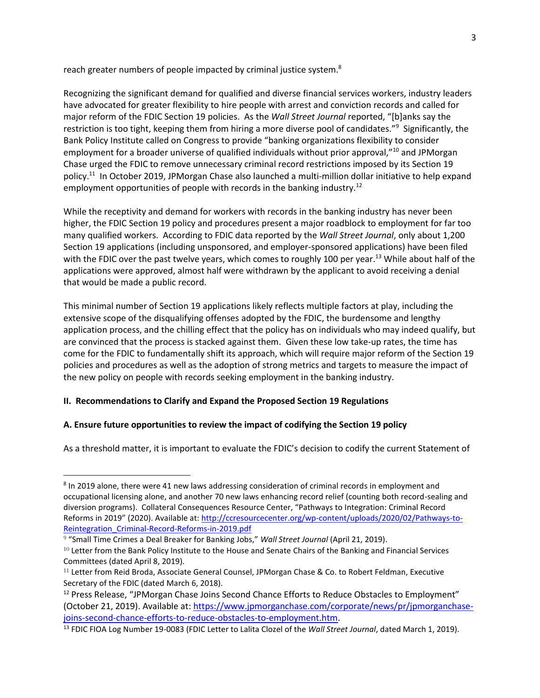reach greater numbers of people impacted by criminal justice system.<sup>8</sup>

Recognizing the significant demand for qualified and diverse financial services workers, industry leaders have advocated for greater flexibility to hire people with arrest and conviction records and called for major reform of the FDIC Section 19 policies. As the *Wall Street Journal* reported, "[b]anks say the restriction is too tight, keeping them from hiring a more diverse pool of candidates."<sup>9</sup> Significantly, the Bank Policy Institute called on Congress to provide "banking organizations flexibility to consider employment for a broader universe of qualified individuals without prior approval,"<sup>10</sup> and JPMorgan Chase urged the FDIC to remove unnecessary criminal record restrictions imposed by its Section 19 policy.<sup>11</sup> In October 2019, JPMorgan Chase also launched a multi-million dollar initiative to help expand employment opportunities of people with records in the banking industry.<sup>12</sup>

While the receptivity and demand for workers with records in the banking industry has never been higher, the FDIC Section 19 policy and procedures present a major roadblock to employment for far too many qualified workers. According to FDIC data reported by the *Wall Street Journal*, only about 1,200 Section 19 applications (including unsponsored, and employer-sponsored applications) have been filed with the FDIC over the past twelve years, which comes to roughly 100 per year.<sup>13</sup> While about half of the applications were approved, almost half were withdrawn by the applicant to avoid receiving a denial that would be made a public record.

This minimal number of Section 19 applications likely reflects multiple factors at play, including the extensive scope of the disqualifying offenses adopted by the FDIC, the burdensome and lengthy application process, and the chilling effect that the policy has on individuals who may indeed qualify, but are convinced that the process is stacked against them. Given these low take-up rates, the time has come for the FDIC to fundamentally shift its approach, which will require major reform of the Section 19 policies and procedures as well as the adoption of strong metrics and targets to measure the impact of the new policy on people with records seeking employment in the banking industry.

#### **II. Recommendations to Clarify and Expand the Proposed Section 19 Regulations**

#### **A. Ensure future opportunities to review the impact of codifying the Section 19 policy**

As a threshold matter, it is important to evaluate the FDIC's decision to codify the current Statement of

<sup>&</sup>lt;sup>8</sup> In 2019 alone, there were 41 new laws addressing consideration of criminal records in employment and occupational licensing alone, and another 70 new laws enhancing record relief (counting both record-sealing and diversion programs). Collateral Consequences Resource Center, "Pathways to Integration: Criminal Record Reforms in 2019" (2020). Available at[: http://ccresourcecenter.org/wp-content/uploads/2020/02/Pathways-to-](http://ccresourcecenter.org/wp-content/uploads/2020/02/Pathways-to-Reintegration_Criminal-Record-Reforms-in-2019.pdf)[Reintegration\\_Criminal-Record-Reforms-in-2019.pdf](http://ccresourcecenter.org/wp-content/uploads/2020/02/Pathways-to-Reintegration_Criminal-Record-Reforms-in-2019.pdf)

<sup>9</sup> "Small Time Crimes a Deal Breaker for Banking Jobs," *Wall Street Journal* (April 21, 2019).

<sup>&</sup>lt;sup>10</sup> Letter from the Bank Policy Institute to the House and Senate Chairs of the Banking and Financial Services Committees (dated April 8, 2019).

<sup>11</sup> Letter from Reid Broda, Associate General Counsel, JPMorgan Chase & Co. to Robert Feldman, Executive Secretary of the FDIC (dated March 6, 2018).

<sup>&</sup>lt;sup>12</sup> Press Release, "JPMorgan Chase Joins Second Chance Efforts to Reduce Obstacles to Employment" (October 21, 2019). Available at: [https://www.jpmorganchase.com/corporate/news/pr/jpmorganchase](https://www.jpmorganchase.com/corporate/news/pr/jpmorganchase-joins-second-chance-efforts-to-reduce-obstacles-to-employment.htm)[joins-second-chance-efforts-to-reduce-obstacles-to-employment.htm.](https://www.jpmorganchase.com/corporate/news/pr/jpmorganchase-joins-second-chance-efforts-to-reduce-obstacles-to-employment.htm)

<sup>13</sup> FDIC FIOA Log Number 19-0083 (FDIC Letter to Lalita Clozel of the *Wall Street Journal*, dated March 1, 2019).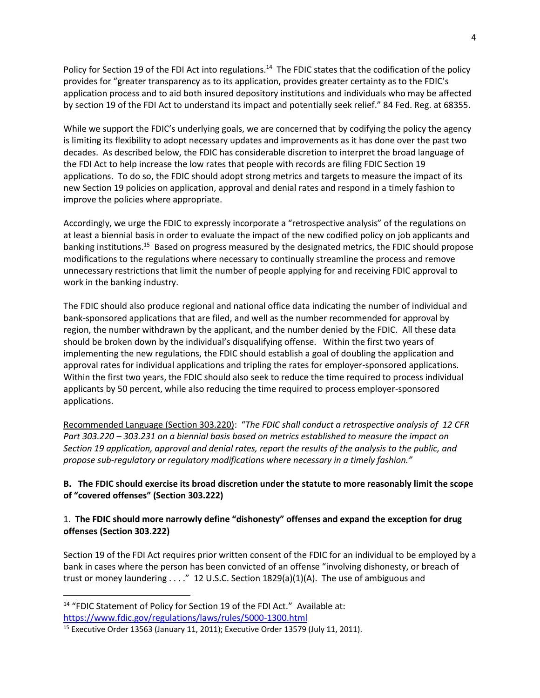Policy for Section 19 of the FDI Act into regulations.<sup>14</sup> The FDIC states that the codification of the policy provides for "greater transparency as to its application, provides greater certainty as to the FDIC's application process and to aid both insured depository institutions and individuals who may be affected by section 19 of the FDI Act to understand its impact and potentially seek relief." 84 Fed. Reg. at 68355.

While we support the FDIC's underlying goals, we are concerned that by codifying the policy the agency is limiting its flexibility to adopt necessary updates and improvements as it has done over the past two decades. As described below, the FDIC has considerable discretion to interpret the broad language of the FDI Act to help increase the low rates that people with records are filing FDIC Section 19 applications. To do so, the FDIC should adopt strong metrics and targets to measure the impact of its new Section 19 policies on application, approval and denial rates and respond in a timely fashion to improve the policies where appropriate.

Accordingly, we urge the FDIC to expressly incorporate a "retrospective analysis" of the regulations on at least a biennial basis in order to evaluate the impact of the new codified policy on job applicants and banking institutions.<sup>15</sup> Based on progress measured by the designated metrics, the FDIC should propose modifications to the regulations where necessary to continually streamline the process and remove unnecessary restrictions that limit the number of people applying for and receiving FDIC approval to work in the banking industry.

The FDIC should also produce regional and national office data indicating the number of individual and bank-sponsored applications that are filed, and well as the number recommended for approval by region, the number withdrawn by the applicant, and the number denied by the FDIC. All these data should be broken down by the individual's disqualifying offense. Within the first two years of implementing the new regulations, the FDIC should establish a goal of doubling the application and approval rates for individual applications and tripling the rates for employer-sponsored applications. Within the first two years, the FDIC should also seek to reduce the time required to process individual applicants by 50 percent, while also reducing the time required to process employer-sponsored applications.

Recommended Language (Section 303.220): "*The FDIC shall conduct a retrospective analysis of 12 CFR Part 303.220 – 303.231 on a biennial basis based on metrics established to measure the impact on Section 19 application, approval and denial rates, report the results of the analysis to the public, and propose sub-regulatory or regulatory modifications where necessary in a timely fashion."*

## **B. The FDIC should exercise its broad discretion under the statute to more reasonably limit the scope of "covered offenses" (Section 303.222)**

# 1. **The FDIC should more narrowly define "dishonesty" offenses and expand the exception for drug offenses (Section 303.222)**

Section 19 of the FDI Act requires prior written consent of the FDIC for an individual to be employed by a bank in cases where the person has been convicted of an offense "involving dishonesty, or breach of trust or money laundering  $\dots$ ." 12 U.S.C. Section 1829(a)(1)(A). The use of ambiguous and

<sup>&</sup>lt;sup>14</sup> "FDIC Statement of Policy for Section 19 of the FDI Act." Available at: <https://www.fdic.gov/regulations/laws/rules/5000-1300.html>

<sup>15</sup> Executive Order 13563 (January 11, 2011); Executive Order 13579 (July 11, 2011).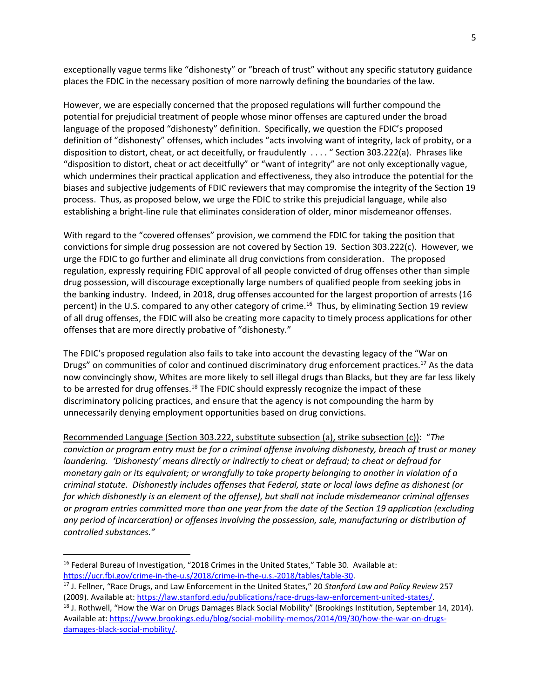exceptionally vague terms like "dishonesty" or "breach of trust" without any specific statutory guidance places the FDIC in the necessary position of more narrowly defining the boundaries of the law.

However, we are especially concerned that the proposed regulations will further compound the potential for prejudicial treatment of people whose minor offenses are captured under the broad language of the proposed "dishonesty" definition. Specifically, we question the FDIC's proposed definition of "dishonesty" offenses, which includes "acts involving want of integrity, lack of probity, or a disposition to distort, cheat, or act deceitfully, or fraudulently . . . . " Section 303.222(a). Phrases like "disposition to distort, cheat or act deceitfully" or "want of integrity" are not only exceptionally vague, which undermines their practical application and effectiveness, they also introduce the potential for the biases and subjective judgements of FDIC reviewers that may compromise the integrity of the Section 19 process. Thus, as proposed below, we urge the FDIC to strike this prejudicial language, while also establishing a bright-line rule that eliminates consideration of older, minor misdemeanor offenses.

With regard to the "covered offenses" provision, we commend the FDIC for taking the position that convictions for simple drug possession are not covered by Section 19. Section 303.222(c). However, we urge the FDIC to go further and eliminate all drug convictions from consideration. The proposed regulation, expressly requiring FDIC approval of all people convicted of drug offenses other than simple drug possession, will discourage exceptionally large numbers of qualified people from seeking jobs in the banking industry. Indeed, in 2018, drug offenses accounted for the largest proportion of arrests (16 percent) in the U.S. compared to any other category of crime.<sup>16</sup> Thus, by eliminating Section 19 review of all drug offenses, the FDIC will also be creating more capacity to timely process applications for other offenses that are more directly probative of "dishonesty."

The FDIC's proposed regulation also fails to take into account the devasting legacy of the "War on Drugs" on communities of color and continued discriminatory drug enforcement practices.<sup>17</sup> As the data now convincingly show, Whites are more likely to sell illegal drugs than Blacks, but they are far less likely to be arrested for drug offenses.<sup>18</sup> The FDIC should expressly recognize the impact of these discriminatory policing practices, and ensure that the agency is not compounding the harm by unnecessarily denying employment opportunities based on drug convictions.

Recommended Language (Section 303.222, substitute subsection (a), strike subsection (c)): "*The conviction or program entry must be for a criminal offense involving dishonesty, breach of trust or money laundering. 'Dishonesty' means directly or indirectly to cheat or defraud; to cheat or defraud for monetary gain or its equivalent; or wrongfully to take property belonging to another in violation of a criminal statute. Dishonestly includes offenses that Federal, state or local laws define as dishonest (or for which dishonestly is an element of the offense), but shall not include misdemeanor criminal offenses or program entries committed more than one year from the date of the Section 19 application (excluding any period of incarceration) or offenses involving the possession, sale, manufacturing or distribution of controlled substances."* 

<sup>&</sup>lt;sup>16</sup> Federal Bureau of Investigation, "2018 Crimes in the United States," Table 30. Available at: [https://ucr.fbi.gov/crime-in-the-u.s/2018/crime-in-the-u.s.-2018/tables/table-30.](https://ucr.fbi.gov/crime-in-the-u.s/2018/crime-in-the-u.s.-2018/tables/table-30)

<sup>17</sup> J. Fellner, "Race Drugs, and Law Enforcement in the United States," 20 *Stanford Law and Policy Review* 257 (2009). Available at[: https://law.stanford.edu/publications/race-drugs-law-enforcement-united-states/.](https://law.stanford.edu/publications/race-drugs-law-enforcement-united-states/)

<sup>&</sup>lt;sup>18</sup> J. Rothwell, "How the War on Drugs Damages Black Social Mobility" (Brookings Institution, September 14, 2014). Available at[: https://www.brookings.edu/blog/social-mobility-memos/2014/09/30/how-the-war-on-drugs](https://www.brookings.edu/blog/social-mobility-memos/2014/09/30/how-the-war-on-drugs-damages-black-social-mobility/)[damages-black-social-mobility/.](https://www.brookings.edu/blog/social-mobility-memos/2014/09/30/how-the-war-on-drugs-damages-black-social-mobility/)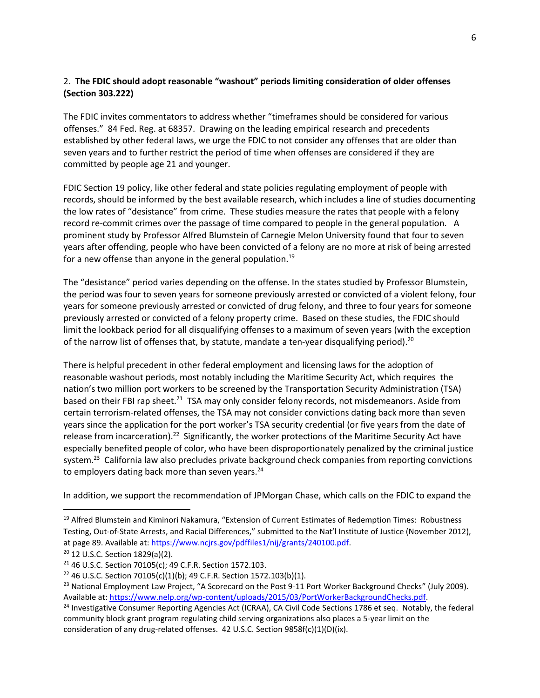# 2. **The FDIC should adopt reasonable "washout" periods limiting consideration of older offenses (Section 303.222)**

The FDIC invites commentators to address whether "timeframes should be considered for various offenses." 84 Fed. Reg. at 68357. Drawing on the leading empirical research and precedents established by other federal laws, we urge the FDIC to not consider any offenses that are older than seven years and to further restrict the period of time when offenses are considered if they are committed by people age 21 and younger.

FDIC Section 19 policy, like other federal and state policies regulating employment of people with records, should be informed by the best available research, which includes a line of studies documenting the low rates of "desistance" from crime. These studies measure the rates that people with a felony record re-commit crimes over the passage of time compared to people in the general population. A prominent study by Professor Alfred Blumstein of Carnegie Melon University found that four to seven years after offending, people who have been convicted of a felony are no more at risk of being arrested for a new offense than anyone in the general population.<sup>19</sup>

The "desistance" period varies depending on the offense. In the states studied by Professor Blumstein, the period was four to seven years for someone previously arrested or convicted of a violent felony, four years for someone previously arrested or convicted of drug felony, and three to four years for someone previously arrested or convicted of a felony property crime. Based on these studies, the FDIC should limit the lookback period for all disqualifying offenses to a maximum of seven years (with the exception of the narrow list of offenses that, by statute, mandate a ten-year disqualifying period).<sup>20</sup>

There is helpful precedent in other federal employment and licensing laws for the adoption of reasonable washout periods, most notably including the Maritime Security Act, which requires the nation's two million port workers to be screened by the Transportation Security Administration (TSA) based on their FBI rap sheet.<sup>21</sup> TSA may only consider felony records, not misdemeanors. Aside from certain terrorism-related offenses, the TSA may not consider convictions dating back more than seven years since the application for the port worker's TSA security credential (or five years from the date of release from incarceration).<sup>22</sup> Significantly, the worker protections of the Maritime Security Act have especially benefited people of color, who have been disproportionately penalized by the criminal justice system.<sup>23</sup> California law also precludes private background check companies from reporting convictions to employers dating back more than seven years.<sup>24</sup>

In addition, we support the recommendation of JPMorgan Chase, which calls on the FDIC to expand the

<sup>&</sup>lt;sup>19</sup> Alfred Blumstein and Kiminori Nakamura, "Extension of Current Estimates of Redemption Times: Robustness Testing, Out-of-State Arrests, and Racial Differences," submitted to the Nat'l Institute of Justice (November 2012), at page 89. Available at[: https://www.ncjrs.gov/pdffiles1/nij/grants/240100.pdf.](https://www.ncjrs.gov/pdffiles1/nij/grants/240100.pdf)

<sup>20</sup> 12 U.S.C. Section 1829(a)(2).

<sup>21</sup> 46 U.S.C. Section 70105(c); 49 C.F.R. Section 1572.103.

<sup>&</sup>lt;sup>22</sup> 46 U.S.C. Section 70105(c)(1)(b); 49 C.F.R. Section 1572.103(b)(1).

<sup>&</sup>lt;sup>23</sup> National Employment Law Project, "A Scorecard on the Post 9-11 Port Worker Background Checks" (July 2009). Available at[: https://www.nelp.org/wp-content/uploads/2015/03/PortWorkerBackgroundChecks.pdf.](https://www.nelp.org/wp-content/uploads/2015/03/PortWorkerBackgroundChecks.pdf)

<sup>&</sup>lt;sup>24</sup> Investigative Consumer Reporting Agencies Act (ICRAA), CA Civil Code Sections 1786 et seq. Notably, the federal community block grant program regulating child serving organizations also places a 5-year limit on the consideration of any drug-related offenses. 42 U.S.C. Section 9858f(c)(1)(D)(ix).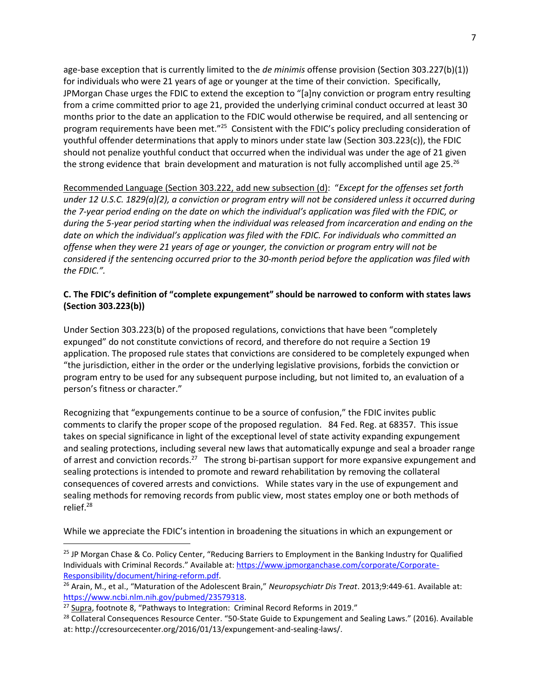age-base exception that is currently limited to the *de minimis* offense provision (Section 303.227(b)(1)) for individuals who were 21 years of age or younger at the time of their conviction. Specifically, JPMorgan Chase urges the FDIC to extend the exception to "[a]ny conviction or program entry resulting from a crime committed prior to age 21, provided the underlying criminal conduct occurred at least 30 months prior to the date an application to the FDIC would otherwise be required, and all sentencing or program requirements have been met."<sup>25</sup> Consistent with the FDIC's policy precluding consideration of youthful offender determinations that apply to minors under state law (Section 303.223(c)), the FDIC should not penalize youthful conduct that occurred when the individual was under the age of 21 given the strong evidence that brain development and maturation is not fully accomplished until age 25.<sup>26</sup>

Recommended Language (Section 303.222, add new subsection (d): "*Except for the offenses set forth under 12 U.S.C. 1829(a)(2), a conviction or program entry will not be considered unless it occurred during the 7-year period ending on the date on which the individual's application was filed with the FDIC, or during the 5-year period starting when the individual was released from incarceration and ending on the date on which the individual's application was filed with the FDIC. For individuals who committed an offense when they were 21 years of age or younger, the conviction or program entry will not be considered if the sentencing occurred prior to the 30-month period before the application was filed with the FDIC.".*

## **C. The FDIC's definition of "complete expungement" should be narrowed to conform with states laws (Section 303.223(b))**

Under Section 303.223(b) of the proposed regulations, convictions that have been "completely expunged" do not constitute convictions of record, and therefore do not require a Section 19 application. The proposed rule states that convictions are considered to be completely expunged when "the jurisdiction, either in the order or the underlying legislative provisions, forbids the conviction or program entry to be used for any subsequent purpose including, but not limited to, an evaluation of a person's fitness or character."

Recognizing that "expungements continue to be a source of confusion," the FDIC invites public comments to clarify the proper scope of the proposed regulation. 84 Fed. Reg. at 68357. This issue takes on special significance in light of the exceptional level of state activity expanding expungement and sealing protections, including several new laws that automatically expunge and seal a broader range of arrest and conviction records.<sup>27</sup> The strong bi-partisan support for more expansive expungement and sealing protections is intended to promote and reward rehabilitation by removing the collateral consequences of covered arrests and convictions. While states vary in the use of expungement and sealing methods for removing records from public view, most states employ one or both methods of relief.<sup>28</sup>

While we appreciate the FDIC's intention in broadening the situations in which an expungement or

<sup>&</sup>lt;sup>25</sup> JP Morgan Chase & Co. Policy Center, "Reducing Barriers to Employment in the Banking Industry for Qualified Individuals with Criminal Records." Available at: [https://www.jpmorganchase.com/corporate/Corporate-](https://www.jpmorganchase.com/corporate/Corporate-Responsibility/document/hiring-reform.pdf)[Responsibility/document/hiring-reform.pdf.](https://www.jpmorganchase.com/corporate/Corporate-Responsibility/document/hiring-reform.pdf)

<sup>26</sup> Arain, M., et al., "Maturation of the Adolescent Brain," *Neuropsychiatr Dis Treat*. 2013;9:449-61. Available at: [https://www.ncbi.nlm.nih.gov/pubmed/23579318.](https://www.ncbi.nlm.nih.gov/pubmed/23579318)

<sup>&</sup>lt;sup>27</sup> Supra, footnote 8, "Pathways to Integration: Criminal Record Reforms in 2019."

<sup>&</sup>lt;sup>28</sup> Collateral Consequences Resource Center. "50-State Guide to Expungement and Sealing Laws." (2016). Available at: http://ccresourcecenter.org/2016/01/13/expungement-and-sealing-laws/.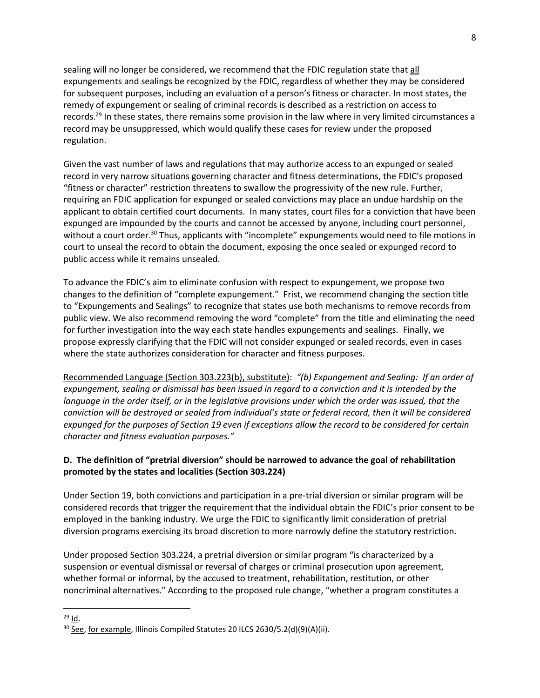sealing will no longer be considered, we recommend that the FDIC regulation state that all expungements and sealings be recognized by the FDIC, regardless of whether they may be considered for subsequent purposes, including an evaluation of a person's fitness or character. In most states, the remedy of expungement or sealing of criminal records is described as a restriction on access to records.<sup>29</sup> In these states, there remains some provision in the law where in very limited circumstances a record may be unsuppressed, which would qualify these cases for review under the proposed regulation.

Given the vast number of laws and regulations that may authorize access to an expunged or sealed record in very narrow situations governing character and fitness determinations, the FDIC's proposed "fitness or character" restriction threatens to swallow the progressivity of the new rule. Further, requiring an FDIC application for expunged or sealed convictions may place an undue hardship on the applicant to obtain certified court documents. In many states, court files for a conviction that have been expunged are impounded by the courts and cannot be accessed by anyone, including court personnel, without a court order.<sup>30</sup> Thus, applicants with "incomplete" expungements would need to file motions in court to unseal the record to obtain the document, exposing the once sealed or expunged record to public access while it remains unsealed.

To advance the FDIC's aim to eliminate confusion with respect to expungement, we propose two changes to the definition of "complete expungement." Frist, we recommend changing the section title to "Expungements and Sealings" to recognize that states use both mechanisms to remove records from public view. We also recommend removing the word "complete" from the title and eliminating the need for further investigation into the way each state handles expungements and sealings. Finally, we propose expressly clarifying that the FDIC will not consider expunged or sealed records, even in cases where the state authorizes consideration for character and fitness purposes.

Recommended Language (Section 303.223(b), substitute): *"(b) Expungement and Sealing: If an order of expungement, sealing or dismissal has been issued in regard to a conviction and it is intended by the language in the order itself, or in the legislative provisions under which the order was issued, that the conviction will be destroyed or sealed from individual's state or federal record, then it will be considered expunged for the purposes of Section 19 even if exceptions allow the record to be considered for certain character and fitness evaluation purposes."*

# **D. The definition of "pretrial diversion" should be narrowed to advance the goal of rehabilitation promoted by the states and localities (Section 303.224)**

Under Section 19, both convictions and participation in a pre-trial diversion or similar program will be considered records that trigger the requirement that the individual obtain the FDIC's prior consent to be employed in the banking industry. We urge the FDIC to significantly limit consideration of pretrial diversion programs exercising its broad discretion to more narrowly define the statutory restriction.

Under proposed Section 303.224, a pretrial diversion or similar program "is characterized by a suspension or eventual dismissal or reversal of charges or criminal prosecution upon agreement, whether formal or informal, by the accused to treatment, rehabilitation, restitution, or other noncriminal alternatives." According to the proposed rule change, "whether a program constitutes a

 $^{29}$  Id.

<sup>&</sup>lt;sup>30</sup> See, for example, Illinois Compiled Statutes 20 ILCS 2630/5.2(d)(9)(A)(ii).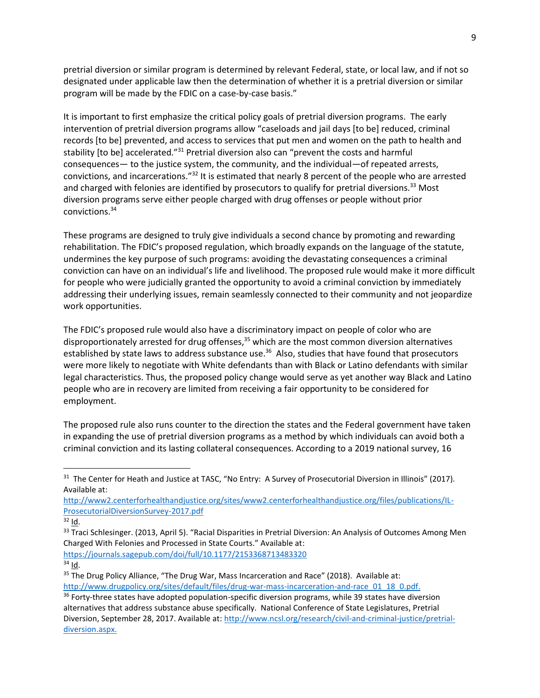pretrial diversion or similar program is determined by relevant Federal, state, or local law, and if not so designated under applicable law then the determination of whether it is a pretrial diversion or similar program will be made by the FDIC on a case-by-case basis."

It is important to first emphasize the critical policy goals of pretrial diversion programs. The early intervention of pretrial diversion programs allow "caseloads and jail days [to be] reduced, criminal records [to be] prevented, and access to services that put men and women on the path to health and stability [to be] accelerated."<sup>31</sup> Pretrial diversion also can "prevent the costs and harmful consequences— to the justice system, the community, and the individual—of repeated arrests, convictions, and incarcerations."<sup>32</sup> It is estimated that nearly 8 percent of the people who are arrested and charged with felonies are identified by prosecutors to qualify for pretrial diversions.<sup>33</sup> Most diversion programs serve either people charged with drug offenses or people without prior convictions.<sup>34</sup>

These programs are designed to truly give individuals a second chance by promoting and rewarding rehabilitation. The FDIC's proposed regulation, which broadly expands on the language of the statute, undermines the key purpose of such programs: avoiding the devastating consequences a criminal conviction can have on an individual's life and livelihood. The proposed rule would make it more difficult for people who were judicially granted the opportunity to avoid a criminal conviction by immediately addressing their underlying issues, remain seamlessly connected to their community and not jeopardize work opportunities.

The FDIC's proposed rule would also have a discriminatory impact on people of color who are disproportionately arrested for drug offenses, $35$  which are the most common diversion alternatives established by state laws to address substance use.<sup>36</sup> Also, studies that have found that prosecutors were more likely to negotiate with White defendants than with Black or Latino defendants with similar legal characteristics. Thus, the proposed policy change would serve as yet another way Black and Latino people who are in recovery are limited from receiving a fair opportunity to be considered for employment.

The proposed rule also runs counter to the direction the states and the Federal government have taken in expanding the use of pretrial diversion programs as a method by which individuals can avoid both a criminal conviction and its lasting collateral consequences. According to a 2019 national survey, 16

<https://journals.sagepub.com/doi/full/10.1177/2153368713483320>

 $31$  The Center for Heath and Justice at TASC, "No Entry: A Survey of Prosecutorial Diversion in Illinois" (2017). Available at:

[http://www2.centerforhealthandjustice.org/sites/www2.centerforhealthandjustice.org/files/publications/IL-](http://www2.centerforhealthandjustice.org/sites/www2.centerforhealthandjustice.org/files/publications/IL-ProsecutorialDiversionSurvey-2017.pdf)[ProsecutorialDiversionSurvey-2017.pdf](http://www2.centerforhealthandjustice.org/sites/www2.centerforhealthandjustice.org/files/publications/IL-ProsecutorialDiversionSurvey-2017.pdf)

 $32$  Id.

<sup>&</sup>lt;sup>33</sup> Traci Schlesinger. (2013, April 5). "Racial Disparities in Pretrial Diversion: An Analysis of Outcomes Among Men Charged With Felonies and Processed in State Courts." Available at:

 $34$  Id.

<sup>&</sup>lt;sup>35</sup> The Drug Policy Alliance, "The Drug War, Mass Incarceration and Race" (2018). Available at: [http://www.drugpolicy.org/sites/default/files/drug-war-mass-incarceration-and-race\\_01\\_18\\_0.pdf.](http://www.drugpolicy.org/sites/default/files/drug-war-mass-incarceration-and-race_01_18_0.pdf)

<sup>&</sup>lt;sup>36</sup> Forty-three states have adopted population-specific diversion programs, while 39 states have diversion alternatives that address substance abuse specifically. National Conference of State Legislatures, Pretrial Diversion, September 28, 2017. Available at: [http://www.ncsl.org/research/civil-and-criminal-justice/pretrial](http://www.ncsl.org/research/civil-and-criminal-justice/pretrial-diversion.aspx.)[diversion.aspx.](http://www.ncsl.org/research/civil-and-criminal-justice/pretrial-diversion.aspx.)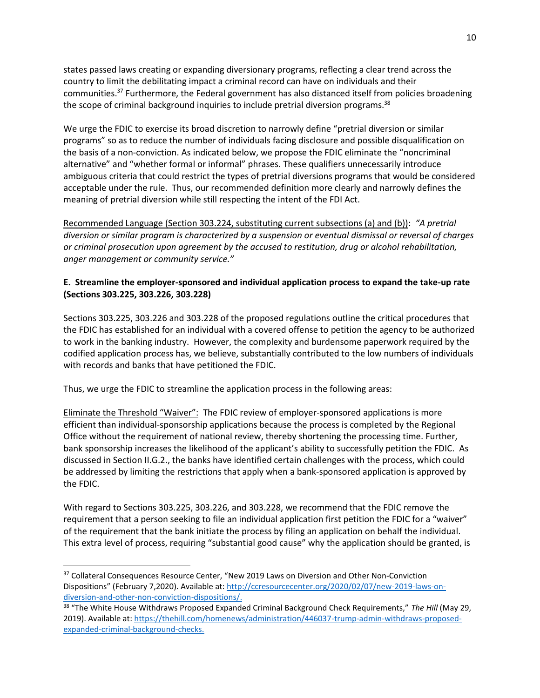states passed laws creating or expanding diversionary programs, reflecting a clear trend across the country to limit the debilitating impact a criminal record can have on individuals and their communities.<sup>37</sup> Furthermore, the Federal government has also distanced itself from policies broadening the scope of criminal background inquiries to include pretrial diversion programs.<sup>38</sup>

We urge the FDIC to exercise its broad discretion to narrowly define "pretrial diversion or similar programs" so as to reduce the number of individuals facing disclosure and possible disqualification on the basis of a non-conviction. As indicated below, we propose the FDIC eliminate the "noncriminal alternative" and "whether formal or informal" phrases. These qualifiers unnecessarily introduce ambiguous criteria that could restrict the types of pretrial diversions programs that would be considered acceptable under the rule. Thus, our recommended definition more clearly and narrowly defines the meaning of pretrial diversion while still respecting the intent of the FDI Act.

Recommended Language (Section 303.224, substituting current subsections (a) and (b)): *"A pretrial diversion or similar program is characterized by a suspension or eventual dismissal or reversal of charges or criminal prosecution upon agreement by the accused to restitution, drug or alcohol rehabilitation, anger management or community service."*

#### **E. Streamline the employer-sponsored and individual application process to expand the take-up rate (Sections 303.225, 303.226, 303.228)**

Sections 303.225, 303.226 and 303.228 of the proposed regulations outline the critical procedures that the FDIC has established for an individual with a covered offense to petition the agency to be authorized to work in the banking industry. However, the complexity and burdensome paperwork required by the codified application process has, we believe, substantially contributed to the low numbers of individuals with records and banks that have petitioned the FDIC.

Thus, we urge the FDIC to streamline the application process in the following areas:

Eliminate the Threshold "Waiver": The FDIC review of employer-sponsored applications is more efficient than individual-sponsorship applications because the process is completed by the Regional Office without the requirement of national review, thereby shortening the processing time. Further, bank sponsorship increases the likelihood of the applicant's ability to successfully petition the FDIC. As discussed in Section II.G.2., the banks have identified certain challenges with the process, which could be addressed by limiting the restrictions that apply when a bank-sponsored application is approved by the FDIC.

With regard to Sections 303.225, 303.226, and 303.228, we recommend that the FDIC remove the requirement that a person seeking to file an individual application first petition the FDIC for a "waiver" of the requirement that the bank initiate the process by filing an application on behalf the individual. This extra level of process, requiring "substantial good cause" why the application should be granted, is

<sup>&</sup>lt;sup>37</sup> Collateral Consequences Resource Center, "New 2019 Laws on Diversion and Other Non-Conviction Dispositions" (February 7,2020). Available at: [http://ccresourcecenter.org/2020/02/07/new-2019-laws-on](http://ccresourcecenter.org/2020/02/07/new-2019-laws-on-diversion-and-other-non-conviction-dispositions/)[diversion-and-other-non-conviction-dispositions/.](http://ccresourcecenter.org/2020/02/07/new-2019-laws-on-diversion-and-other-non-conviction-dispositions/)

<sup>38</sup> "The White House Withdraws Proposed Expanded Criminal Background Check Requirements," *The Hill* (May 29, 2019). Available at: [https://thehill.com/homenews/administration/446037-trump-admin-withdraws-proposed](https://thehill.com/homenews/administration/446037-trump-admin-withdraws-proposed-expanded-criminal-background-checks)[expanded-criminal-background-checks.](https://thehill.com/homenews/administration/446037-trump-admin-withdraws-proposed-expanded-criminal-background-checks)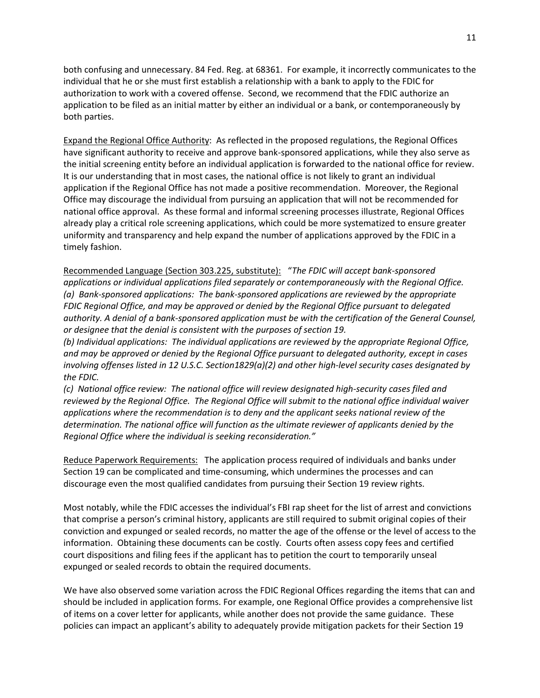both confusing and unnecessary. 84 Fed. Reg. at 68361. For example, it incorrectly communicates to the individual that he or she must first establish a relationship with a bank to apply to the FDIC for authorization to work with a covered offense. Second, we recommend that the FDIC authorize an application to be filed as an initial matter by either an individual or a bank, or contemporaneously by both parties.

Expand the Regional Office Authority: As reflected in the proposed regulations, the Regional Offices have significant authority to receive and approve bank-sponsored applications, while they also serve as the initial screening entity before an individual application is forwarded to the national office for review. It is our understanding that in most cases, the national office is not likely to grant an individual application if the Regional Office has not made a positive recommendation. Moreover, the Regional Office may discourage the individual from pursuing an application that will not be recommended for national office approval. As these formal and informal screening processes illustrate, Regional Offices already play a critical role screening applications, which could be more systematized to ensure greater uniformity and transparency and help expand the number of applications approved by the FDIC in a timely fashion.

Recommended Language (Section 303.225, substitute): "*The FDIC will accept bank-sponsored applications or individual applications filed separately or contemporaneously with the Regional Office. (a) Bank-sponsored applications: The bank-sponsored applications are reviewed by the appropriate FDIC Regional Office, and may be approved or denied by the Regional Office pursuant to delegated authority. A denial of a bank-sponsored application must be with the certification of the General Counsel, or designee that the denial is consistent with the purposes of section 19.*

*(b) Individual applications: The individual applications are reviewed by the appropriate Regional Office, and may be approved or denied by the Regional Office pursuant to delegated authority, except in cases involving offenses listed in 12 U.S.C. Section1829(a)(2) and other high-level security cases designated by the FDIC.* 

*(c) National office review: The national office will review designated high-security cases filed and reviewed by the Regional Office. The Regional Office will submit to the national office individual waiver applications where the recommendation is to deny and the applicant seeks national review of the determination. The national office will function as the ultimate reviewer of applicants denied by the Regional Office where the individual is seeking reconsideration."*

Reduce Paperwork Requirements: The application process required of individuals and banks under Section 19 can be complicated and time-consuming, which undermines the processes and can discourage even the most qualified candidates from pursuing their Section 19 review rights.

Most notably, while the FDIC accesses the individual's FBI rap sheet for the list of arrest and convictions that comprise a person's criminal history, applicants are still required to submit original copies of their conviction and expunged or sealed records, no matter the age of the offense or the level of access to the information. Obtaining these documents can be costly. Courts often assess copy fees and certified court dispositions and filing fees if the applicant has to petition the court to temporarily unseal expunged or sealed records to obtain the required documents.

We have also observed some variation across the FDIC Regional Offices regarding the items that can and should be included in application forms. For example, one Regional Office provides a comprehensive list of items on a cover letter for applicants, while another does not provide the same guidance. These policies can impact an applicant's ability to adequately provide mitigation packets for their Section 19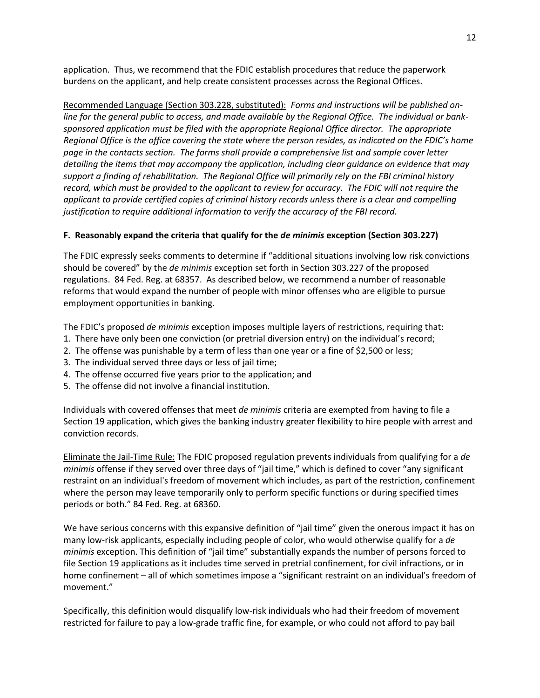application. Thus, we recommend that the FDIC establish procedures that reduce the paperwork burdens on the applicant, and help create consistent processes across the Regional Offices.

Recommended Language (Section 303.228, substituted): *Forms and instructions will be published online for the general public to access, and made available by the Regional Office. The individual or banksponsored application must be filed with the appropriate Regional Office director. The appropriate Regional Office is the office covering the state where the person resides, as indicated on the FDIC's home page in the contacts section. The forms shall provide a comprehensive list and sample cover letter detailing the items that may accompany the application, including clear guidance on evidence that may support a finding of rehabilitation. The Regional Office will primarily rely on the FBI criminal history record, which must be provided to the applicant to review for accuracy. The FDIC will not require the applicant to provide certified copies of criminal history records unless there is a clear and compelling justification to require additional information to verify the accuracy of the FBI record.*

## **F. Reasonably expand the criteria that qualify for the** *de minimis* **exception (Section 303.227)**

The FDIC expressly seeks comments to determine if "additional situations involving low risk convictions should be covered" by the *de minimis* exception set forth in Section 303.227 of the proposed regulations. 84 Fed. Reg. at 68357. As described below, we recommend a number of reasonable reforms that would expand the number of people with minor offenses who are eligible to pursue employment opportunities in banking.

The FDIC's proposed *de minimis* exception imposes multiple layers of restrictions, requiring that:

- 1. There have only been one conviction (or pretrial diversion entry) on the individual's record;
- 2. The offense was punishable by a term of less than one year or a fine of \$2,500 or less;
- 3. The individual served three days or less of jail time;
- 4. The offense occurred five years prior to the application; and
- 5. The offense did not involve a financial institution.

Individuals with covered offenses that meet *de minimis* criteria are exempted from having to file a Section 19 application, which gives the banking industry greater flexibility to hire people with arrest and conviction records.

Eliminate the Jail-Time Rule: The FDIC proposed regulation prevents individuals from qualifying for a *de minimis* offense if they served over three days of "jail time," which is defined to cover "any significant restraint on an individual's freedom of movement which includes, as part of the restriction, confinement where the person may leave temporarily only to perform specific functions or during specified times periods or both." 84 Fed. Reg. at 68360.

We have serious concerns with this expansive definition of "jail time" given the onerous impact it has on many low-risk applicants, especially including people of color, who would otherwise qualify for a *de minimis* exception. This definition of "jail time" substantially expands the number of persons forced to file Section 19 applications as it includes time served in pretrial confinement, for civil infractions, or in home confinement – all of which sometimes impose a "significant restraint on an individual's freedom of movement."

Specifically, this definition would disqualify low-risk individuals who had their freedom of movement restricted for failure to pay a low-grade traffic fine, for example, or who could not afford to pay bail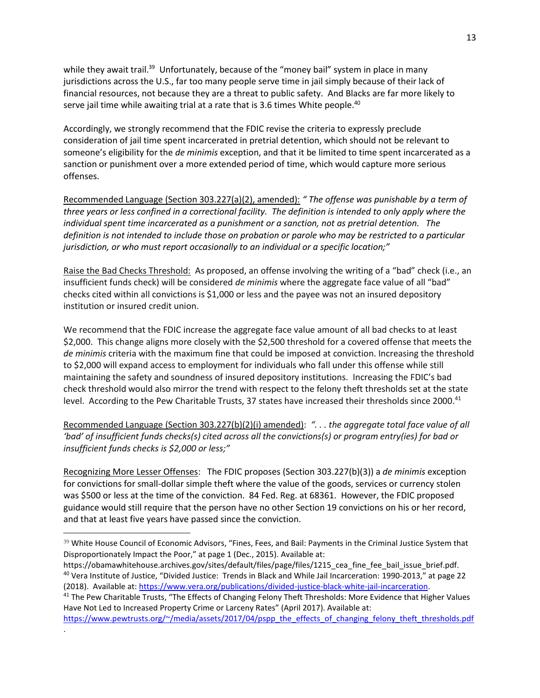while they await trail.<sup>39</sup> Unfortunately, because of the "money bail" system in place in many jurisdictions across the U.S., far too many people serve time in jail simply because of their lack of financial resources, not because they are a threat to public safety. And Blacks are far more likely to serve jail time while awaiting trial at a rate that is 3.6 times White people.<sup>40</sup>

Accordingly, we strongly recommend that the FDIC revise the criteria to expressly preclude consideration of jail time spent incarcerated in pretrial detention, which should not be relevant to someone's eligibility for the *de minimis* exception, and that it be limited to time spent incarcerated as a sanction or punishment over a more extended period of time, which would capture more serious offenses.

Recommended Language (Section 303.227(a)(2), amended): *" The offense was punishable by a term of three years or less confined in a correctional facility. The definition is intended to only apply where the individual spent time incarcerated as a punishment or a sanction, not as pretrial detention. The definition is not intended to include those on probation or parole who may be restricted to a particular jurisdiction, or who must report occasionally to an individual or a specific location;"*

Raise the Bad Checks Threshold: As proposed, an offense involving the writing of a "bad" check (i.e., an insufficient funds check) will be considered *de minimis* where the aggregate face value of all "bad" checks cited within all convictions is \$1,000 or less and the payee was not an insured depository institution or insured credit union.

We recommend that the FDIC increase the aggregate face value amount of all bad checks to at least \$2,000. This change aligns more closely with the \$2,500 threshold for a covered offense that meets the *de minimis* criteria with the maximum fine that could be imposed at conviction. Increasing the threshold to \$2,000 will expand access to employment for individuals who fall under this offense while still maintaining the safety and soundness of insured depository institutions. Increasing the FDIC's bad check threshold would also mirror the trend with respect to the felony theft thresholds set at the state level. According to the Pew Charitable Trusts, 37 states have increased their thresholds since 2000.<sup>41</sup>

Recommended Language (Section 303.227(b)(2)(i) amended): *". . . the aggregate total face value of all 'bad' of insufficient funds checks(s) cited across all the convictions(s) or program entry(ies) for bad or insufficient funds checks is \$2,000 or less;"*

Recognizing More Lesser Offenses: The FDIC proposes (Section 303.227(b)(3)) a *de minimis* exception for convictions for small-dollar simple theft where the value of the goods, services or currency stolen was \$500 or less at the time of the conviction. 84 Fed. Reg. at 68361. However, the FDIC proposed guidance would still require that the person have no other Section 19 convictions on his or her record, and that at least five years have passed since the conviction.

[https://www.pewtrusts.org/~/media/assets/2017/04/pspp\\_the\\_effects\\_of\\_changing\\_felony\\_theft\\_thresholds.pdf](https://www.pewtrusts.org/~/media/assets/2017/04/pspp_the_effects_of_changing_felony_theft_thresholds.pdf)

.

<sup>&</sup>lt;sup>39</sup> White House Council of Economic Advisors, "Fines, Fees, and Bail: Payments in the Criminal Justice System that Disproportionately Impact the Poor," at page 1 (Dec., 2015). Available at:

https://obamawhitehouse.archives.gov/sites/default/files/page/files/1215 cea fine fee bail issue brief.pdf. <sup>40</sup> Vera Institute of Justice, "Divided Justice: Trends in Black and While Jail Incarceration: 1990-2013," at page 22 (2018). Available at[: https://www.vera.org/publications/divided-justice-black-white-jail-incarceration.](https://www.vera.org/publications/divided-justice-black-white-jail-incarceration)

<sup>&</sup>lt;sup>41</sup> The Pew Charitable Trusts, "The Effects of Changing Felony Theft Thresholds: More Evidence that Higher Values Have Not Led to Increased Property Crime or Larceny Rates" (April 2017). Available at: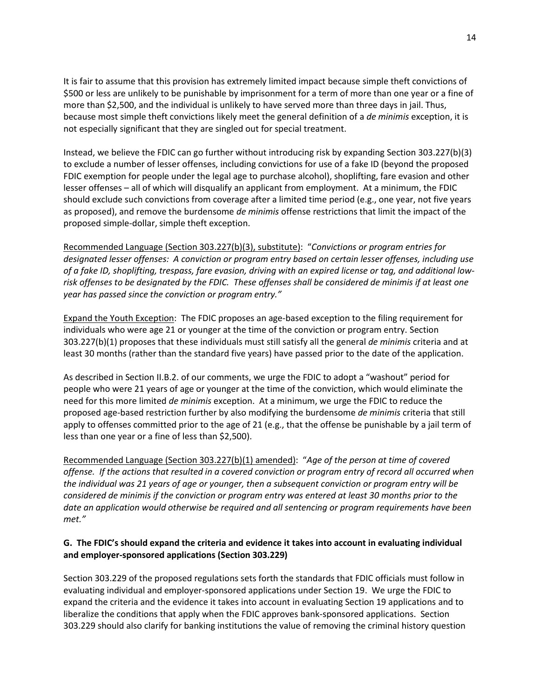It is fair to assume that this provision has extremely limited impact because simple theft convictions of \$500 or less are unlikely to be punishable by imprisonment for a term of more than one year or a fine of more than \$2,500, and the individual is unlikely to have served more than three days in jail. Thus, because most simple theft convictions likely meet the general definition of a *de minimis* exception, it is not especially significant that they are singled out for special treatment.

Instead, we believe the FDIC can go further without introducing risk by expanding Section 303.227(b)(3) to exclude a number of lesser offenses, including convictions for use of a fake ID (beyond the proposed FDIC exemption for people under the legal age to purchase alcohol), shoplifting, fare evasion and other lesser offenses – all of which will disqualify an applicant from employment. At a minimum, the FDIC should exclude such convictions from coverage after a limited time period (e.g., one year, not five years as proposed), and remove the burdensome *de minimis* offense restrictions that limit the impact of the proposed simple-dollar, simple theft exception.

Recommended Language (Section 303.227(b)(3), substitute): "*Convictions or program entries for designated lesser offenses: A conviction or program entry based on certain lesser offenses, including use of a fake ID, shoplifting, trespass, fare evasion, driving with an expired license or tag, and additional lowrisk offenses to be designated by the FDIC. These offenses shall be considered de minimis if at least one year has passed since the conviction or program entry."* 

Expand the Youth Exception: The FDIC proposes an age-based exception to the filing requirement for individuals who were age 21 or younger at the time of the conviction or program entry. Section 303.227(b)(1) proposes that these individuals must still satisfy all the general *de minimis* criteria and at least 30 months (rather than the standard five years) have passed prior to the date of the application.

As described in Section II.B.2. of our comments, we urge the FDIC to adopt a "washout" period for people who were 21 years of age or younger at the time of the conviction, which would eliminate the need for this more limited *de minimis* exception. At a minimum, we urge the FDIC to reduce the proposed age-based restriction further by also modifying the burdensome *de minimis* criteria that still apply to offenses committed prior to the age of 21 (e.g., that the offense be punishable by a jail term of less than one year or a fine of less than \$2,500).

Recommended Language (Section 303.227(b)(1) amended): "*Age of the person at time of covered offense. If the actions that resulted in a covered conviction or program entry of record all occurred when the individual was 21 years of age or younger, then a subsequent conviction or program entry will be considered de minimis if the conviction or program entry was entered at least 30 months prior to the date an application would otherwise be required and all sentencing or program requirements have been met."*

## **G. The FDIC's should expand the criteria and evidence it takes into account in evaluating individual and employer-sponsored applications (Section 303.229)**

Section 303.229 of the proposed regulations sets forth the standards that FDIC officials must follow in evaluating individual and employer-sponsored applications under Section 19. We urge the FDIC to expand the criteria and the evidence it takes into account in evaluating Section 19 applications and to liberalize the conditions that apply when the FDIC approves bank-sponsored applications. Section 303.229 should also clarify for banking institutions the value of removing the criminal history question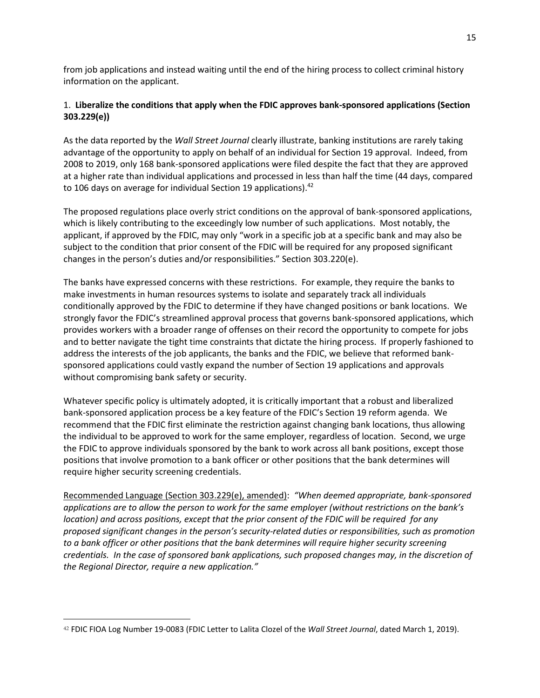from job applications and instead waiting until the end of the hiring process to collect criminal history information on the applicant.

## 1. **Liberalize the conditions that apply when the FDIC approves bank-sponsored applications (Section 303.229(e))**

As the data reported by the *Wall Street Journal* clearly illustrate, banking institutions are rarely taking advantage of the opportunity to apply on behalf of an individual for Section 19 approval. Indeed, from 2008 to 2019, only 168 bank-sponsored applications were filed despite the fact that they are approved at a higher rate than individual applications and processed in less than half the time (44 days, compared to 106 days on average for individual Section 19 applications).<sup>42</sup>

The proposed regulations place overly strict conditions on the approval of bank-sponsored applications, which is likely contributing to the exceedingly low number of such applications. Most notably, the applicant, if approved by the FDIC, may only "work in a specific job at a specific bank and may also be subject to the condition that prior consent of the FDIC will be required for any proposed significant changes in the person's duties and/or responsibilities." Section 303.220(e).

The banks have expressed concerns with these restrictions. For example, they require the banks to make investments in human resources systems to isolate and separately track all individuals conditionally approved by the FDIC to determine if they have changed positions or bank locations. We strongly favor the FDIC's streamlined approval process that governs bank-sponsored applications, which provides workers with a broader range of offenses on their record the opportunity to compete for jobs and to better navigate the tight time constraints that dictate the hiring process. If properly fashioned to address the interests of the job applicants, the banks and the FDIC, we believe that reformed banksponsored applications could vastly expand the number of Section 19 applications and approvals without compromising bank safety or security.

Whatever specific policy is ultimately adopted, it is critically important that a robust and liberalized bank-sponsored application process be a key feature of the FDIC's Section 19 reform agenda. We recommend that the FDIC first eliminate the restriction against changing bank locations, thus allowing the individual to be approved to work for the same employer, regardless of location. Second, we urge the FDIC to approve individuals sponsored by the bank to work across all bank positions, except those positions that involve promotion to a bank officer or other positions that the bank determines will require higher security screening credentials.

Recommended Language (Section 303.229(e), amended): *"When deemed appropriate, bank-sponsored applications are to allow the person to work for the same employer (without restrictions on the bank's location) and across positions, except that the prior consent of the FDIC will be required for any proposed significant changes in the person's security-related duties or responsibilities, such as promotion to a bank officer or other positions that the bank determines will require higher security screening credentials. In the case of sponsored bank applications, such proposed changes may, in the discretion of the Regional Director, require a new application."*

<sup>42</sup> FDIC FIOA Log Number 19-0083 (FDIC Letter to Lalita Clozel of the *Wall Street Journal*, dated March 1, 2019).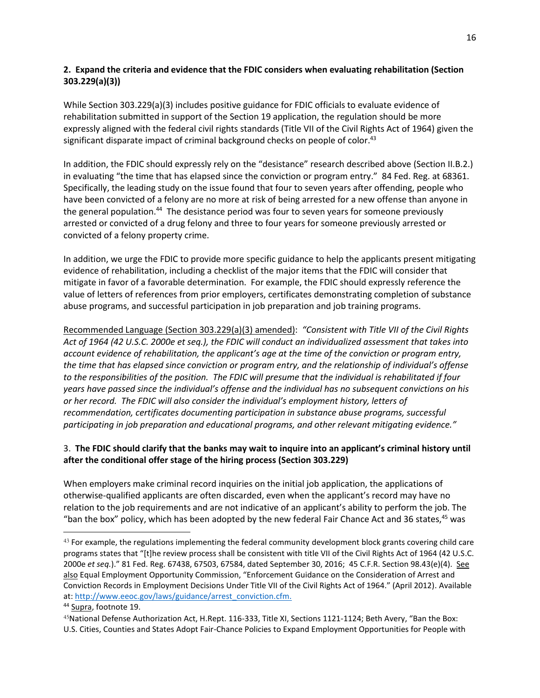## **2. Expand the criteria and evidence that the FDIC considers when evaluating rehabilitation (Section 303.229(a)(3))**

While Section 303.229(a)(3) includes positive guidance for FDIC officials to evaluate evidence of rehabilitation submitted in support of the Section 19 application, the regulation should be more expressly aligned with the federal civil rights standards (Title VII of the Civil Rights Act of 1964) given the significant disparate impact of criminal background checks on people of color.<sup>43</sup>

In addition, the FDIC should expressly rely on the "desistance" research described above (Section II.B.2.) in evaluating "the time that has elapsed since the conviction or program entry." 84 Fed. Reg. at 68361. Specifically, the leading study on the issue found that four to seven years after offending, people who have been convicted of a felony are no more at risk of being arrested for a new offense than anyone in the general population.<sup>44</sup> The desistance period was four to seven years for someone previously arrested or convicted of a drug felony and three to four years for someone previously arrested or convicted of a felony property crime.

In addition, we urge the FDIC to provide more specific guidance to help the applicants present mitigating evidence of rehabilitation, including a checklist of the major items that the FDIC will consider that mitigate in favor of a favorable determination. For example, the FDIC should expressly reference the value of letters of references from prior employers, certificates demonstrating completion of substance abuse programs, and successful participation in job preparation and job training programs.

Recommended Language (Section 303.229(a)(3) amended): *"Consistent with Title VII of the Civil Rights Act of 1964 (42 U.S.C. 2000e et seq.), the FDIC will conduct an individualized assessment that takes into account evidence of rehabilitation, the applicant's age at the time of the conviction or program entry, the time that has elapsed since conviction or program entry, and the relationship of individual's offense to the responsibilities of the position. The FDIC will presume that the individual is rehabilitated if four years have passed since the individual's offense and the individual has no subsequent convictions on his or her record. The FDIC will also consider the individual's employment history, letters of recommendation, certificates documenting participation in substance abuse programs, successful participating in job preparation and educational programs, and other relevant mitigating evidence."*

## 3. **The FDIC should clarify that the banks may wait to inquire into an applicant's criminal history until after the conditional offer stage of the hiring process (Section 303.229)**

When employers make criminal record inquiries on the initial job application, the applications of otherwise-qualified applicants are often discarded, even when the applicant's record may have no relation to the job requirements and are not indicative of an applicant's ability to perform the job. The "ban the box" policy, which has been adopted by the new federal Fair Chance Act and 36 states,  $45$  was

<sup>&</sup>lt;sup>43</sup> For example, the regulations implementing the federal community development block grants covering child care programs states that "[t]he review process shall be consistent with title VII of the Civil Rights Act of 1964 (42 U.S.C. 2000e *et seq.*)." 81 Fed. Reg. 67438, 67503, 67584, dated September 30, 2016; 45 C.F.R. Section 98.43(e)(4). See also Equal Employment Opportunity Commission, "Enforcement Guidance on the Consideration of Arrest and Conviction Records in Employment Decisions Under Title VII of the Civil Rights Act of 1964." (April 2012). Available at: [http://www.eeoc.gov/laws/guidance/arrest\\_conviction.cfm.](http://www.eeoc.gov/laws/guidance/arrest_conviction.cfm)

<sup>&</sup>lt;sup>44</sup> Supra, footnote 19.

<sup>45</sup>National Defense Authorization Act, H.Rept. 116-333, Title XI, Sections 1121-1124; Beth Avery, "Ban the Box: U.S. Cities, Counties and States Adopt Fair-Chance Policies to Expand Employment Opportunities for People with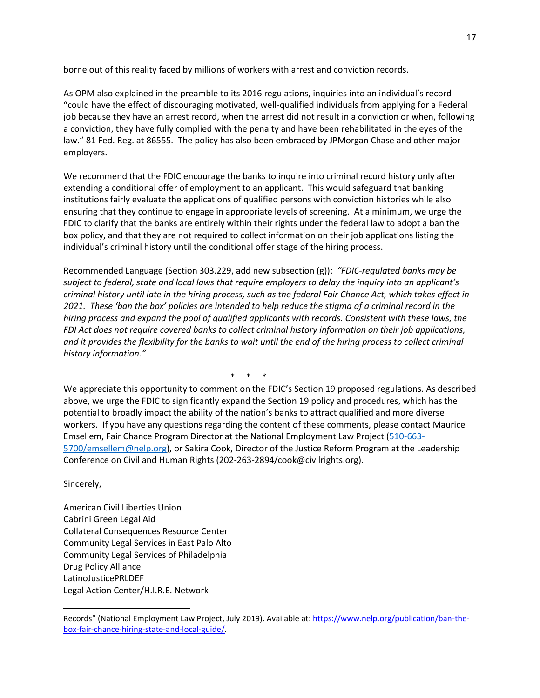borne out of this reality faced by millions of workers with arrest and conviction records.

As OPM also explained in the preamble to its 2016 regulations, inquiries into an individual's record "could have the effect of discouraging motivated, well-qualified individuals from applying for a Federal job because they have an arrest record, when the arrest did not result in a conviction or when, following a conviction, they have fully complied with the penalty and have been rehabilitated in the eyes of the law." 81 Fed. Reg. at 86555. The policy has also been embraced by JPMorgan Chase and other major employers.

We recommend that the FDIC encourage the banks to inquire into criminal record history only after extending a conditional offer of employment to an applicant. This would safeguard that banking institutions fairly evaluate the applications of qualified persons with conviction histories while also ensuring that they continue to engage in appropriate levels of screening. At a minimum, we urge the FDIC to clarify that the banks are entirely within their rights under the federal law to adopt a ban the box policy, and that they are not required to collect information on their job applications listing the individual's criminal history until the conditional offer stage of the hiring process.

Recommended Language (Section 303.229, add new subsection (g)): *"FDIC-regulated banks may be subject to federal, state and local laws that require employers to delay the inquiry into an applicant's criminal history until late in the hiring process, such as the federal Fair Chance Act, which takes effect in 2021. These 'ban the box' policies are intended to help reduce the stigma of a criminal record in the hiring process and expand the pool of qualified applicants with records. Consistent with these laws, the FDI Act does not require covered banks to collect criminal history information on their job applications, and it provides the flexibility for the banks to wait until the end of the hiring process to collect criminal history information."*

\* \* \*

We appreciate this opportunity to comment on the FDIC's Section 19 proposed regulations. As described above, we urge the FDIC to significantly expand the Section 19 policy and procedures, which has the potential to broadly impact the ability of the nation's banks to attract qualified and more diverse workers. If you have any questions regarding the content of these comments, please contact Maurice Emsellem, Fair Chance Program Director at the National Employment Law Project [\(510-663-](mailto:510-663-5700/emsellem@nelp.org) [5700/emsellem@nelp.org\)](mailto:510-663-5700/emsellem@nelp.org), or Sakira Cook, Director of the Justice Reform Program at the Leadership Conference on Civil and Human Rights (202-263-2894/cook@civilrights.org).

Sincerely,

American Civil Liberties Union Cabrini Green Legal Aid Collateral Consequences Resource Center Community Legal Services in East Palo Alto Community Legal Services of Philadelphia Drug Policy Alliance LatinoJusticePRLDEF Legal Action Center/H.I.R.E. Network

Records" (National Employment Law Project, July 2019). Available at: [https://www.nelp.org/publication/ban-the](https://www.nelp.org/publication/ban-the-box-fair-chance-hiring-state-and-local-guide/)[box-fair-chance-hiring-state-and-local-guide/.](https://www.nelp.org/publication/ban-the-box-fair-chance-hiring-state-and-local-guide/)